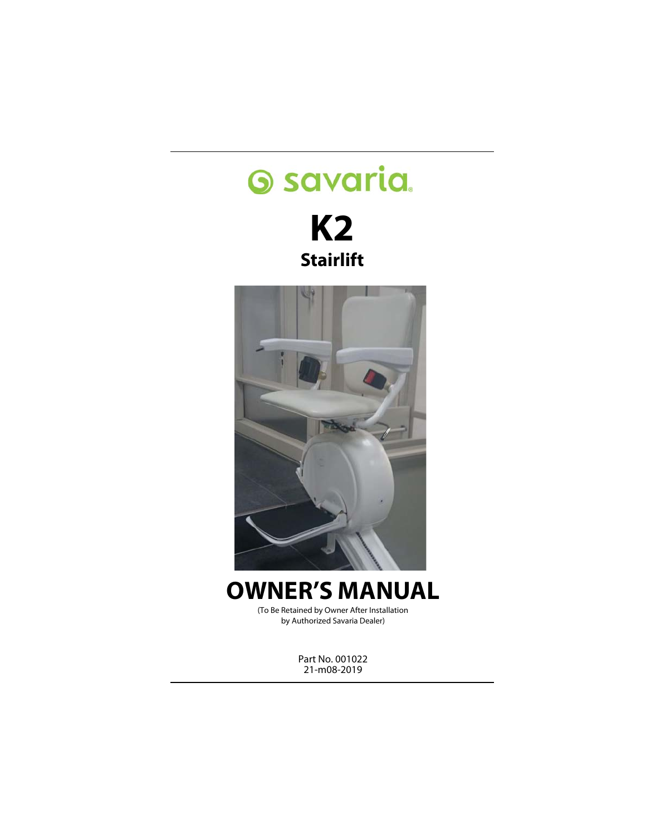# **Savaria.**

## **K2 Stairlift**



## **OWNER'S MANUAL**

(To Be Retained by Owner After Installation by Authorized Savaria Dealer)

> Part No. 001022 21-m08-2019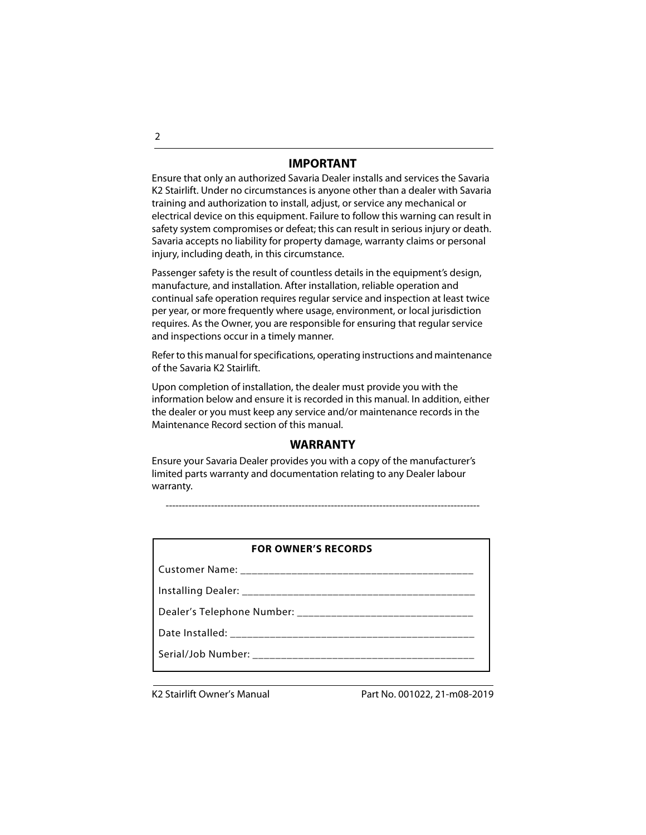## **IMPORTANT**

Ensure that only an authorized Savaria Dealer installs and services the Savaria K2 Stairlift. Under no circumstances is anyone other than a dealer with Savaria training and authorization to install, adjust, or service any mechanical or electrical device on this equipment. Failure to follow this warning can result in safety system compromises or defeat; this can result in serious injury or death. Savaria accepts no liability for property damage, warranty claims or personal injury, including death, in this circumstance.

Passenger safety is the result of countless details in the equipment's design, manufacture, and installation. After installation, reliable operation and continual safe operation requires regular service and inspection at least twice per year, or more frequently where usage, environment, or local jurisdiction requires. As the Owner, you are responsible for ensuring that regular service and inspections occur in a timely manner.

Refer to this manual for specifications, operating instructions and maintenance of the Savaria K2 Stairlift.

Upon completion of installation, the dealer must provide you with the information below and ensure it is recorded in this manual. In addition, either the dealer or you must keep any service and/or maintenance records in the Maintenance Record section of this manual.

### **WARRANTY**

Ensure your Savaria Dealer provides you with a copy of the manufacturer's limited parts warranty and documentation relating to any Dealer labour warranty.

-------------------------------------------------------------------------------------------------

#### **FOR OWNER'S RECORDS**

| Dealer's Telephone Number: _________________________________ |
|--------------------------------------------------------------|
|                                                              |
|                                                              |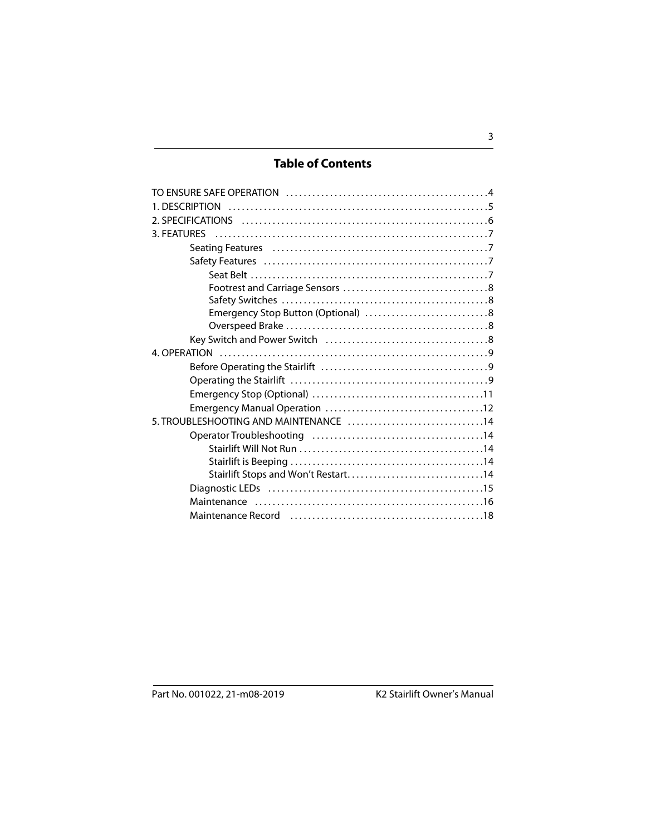## **Table of Contents**

| 1. DESCRIPTION                                                                                                  |  |
|-----------------------------------------------------------------------------------------------------------------|--|
|                                                                                                                 |  |
|                                                                                                                 |  |
| 3. FFATURES                                                                                                     |  |
| Seating Features (all contains and contained a seating Features and Taranteer and Taranteer and Taranteer and T |  |
|                                                                                                                 |  |
|                                                                                                                 |  |
|                                                                                                                 |  |
|                                                                                                                 |  |
|                                                                                                                 |  |
|                                                                                                                 |  |
|                                                                                                                 |  |
|                                                                                                                 |  |
|                                                                                                                 |  |
|                                                                                                                 |  |
|                                                                                                                 |  |
|                                                                                                                 |  |
| 5. TROUBLESHOOTING AND MAINTENANCE 14                                                                           |  |
|                                                                                                                 |  |
|                                                                                                                 |  |
|                                                                                                                 |  |
|                                                                                                                 |  |
|                                                                                                                 |  |
| Maintenance                                                                                                     |  |
|                                                                                                                 |  |
|                                                                                                                 |  |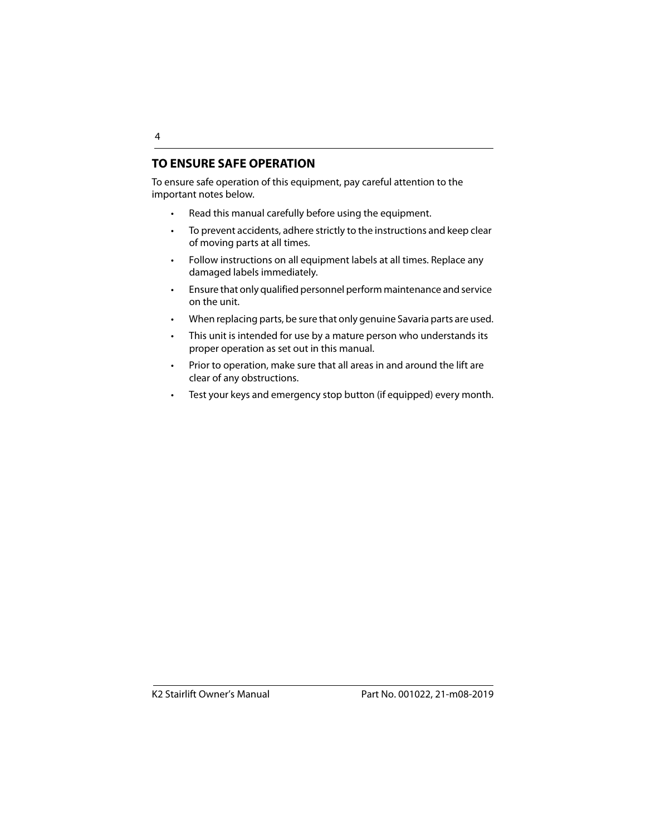## <span id="page-3-0"></span>**TO ENSURE SAFE OPERATION**

To ensure safe operation of this equipment, pay careful attention to the important notes below.

- Read this manual carefully before using the equipment.
- To prevent accidents, adhere strictly to the instructions and keep clear of moving parts at all times.
- Follow instructions on all equipment labels at all times. Replace any damaged labels immediately.
- Ensure that only qualified personnel perform maintenance and service on the unit.
- When replacing parts, be sure that only genuine Savaria parts are used.
- This unit is intended for use by a mature person who understands its proper operation as set out in this manual.
- Prior to operation, make sure that all areas in and around the lift are clear of any obstructions.
- Test your keys and emergency stop button (if equipped) every month.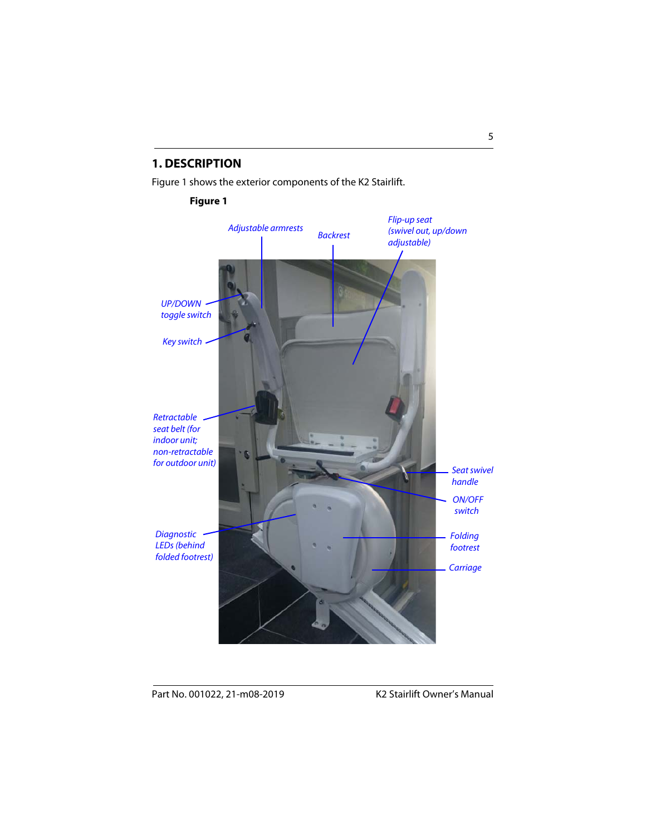## <span id="page-4-0"></span>**1. DESCRIPTION**

Figure 1 shows the exterior components of the K2 Stairlift.

#### **Figure 1**

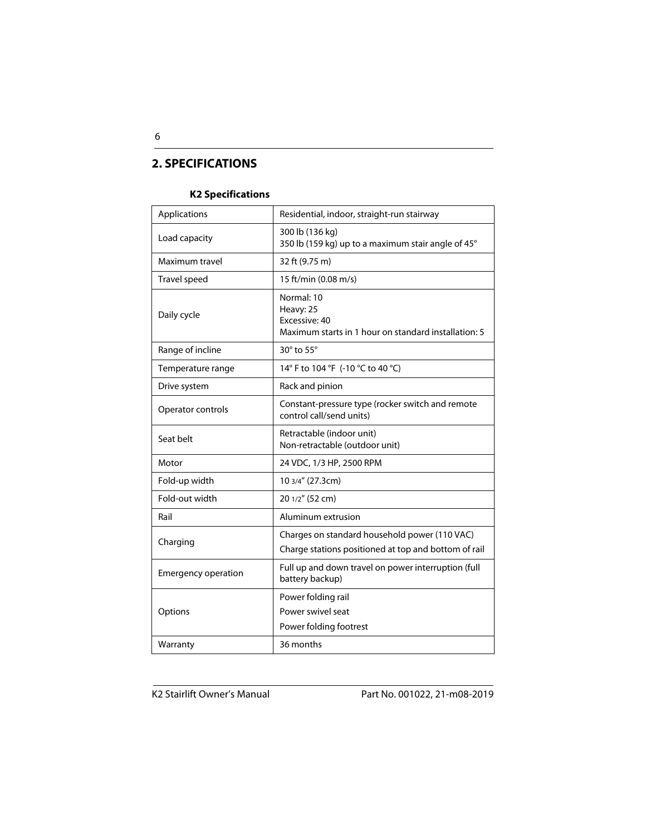## <span id="page-5-0"></span>**2. SPECIFICATIONS**

### **K2 Specifications**

| Applications               | Residential, indoor, straight-run stairway                                                            |  |  |
|----------------------------|-------------------------------------------------------------------------------------------------------|--|--|
| Load capacity              | 300 lb (136 kg)<br>350 lb (159 kg) up to a maximum stair angle of 45°                                 |  |  |
| Maximum travel             | 32 ft (9.75 m)                                                                                        |  |  |
| Travel speed               | 15 ft/min (0.08 m/s)                                                                                  |  |  |
| Daily cycle                | Normal: 10<br>Heavy: 25<br>Excessive: 40<br>Maximum starts in 1 hour on standard installation: 5      |  |  |
| Range of incline           | 30° to 55°                                                                                            |  |  |
| Temperature range          | 14° F to 104 °F (-10 °C to 40 °C)                                                                     |  |  |
| Drive system               | Rack and pinion                                                                                       |  |  |
| Operator controls          | Constant-pressure type (rocker switch and remote<br>control call/send units)                          |  |  |
| Seat belt                  | Retractable (indoor unit)<br>Non-retractable (outdoor unit)                                           |  |  |
| Motor                      | 24 VDC, 1/3 HP, 2500 RPM                                                                              |  |  |
| Fold-up width              | 10 3/4" (27.3cm)                                                                                      |  |  |
| Fold-out width             | 20 1/2" (52 cm)                                                                                       |  |  |
| Rail                       | Aluminum extrusion                                                                                    |  |  |
| Charging                   | Charges on standard household power (110 VAC)<br>Charge stations positioned at top and bottom of rail |  |  |
| <b>Emergency operation</b> | Full up and down travel on power interruption (full<br>battery backup)                                |  |  |
| Options                    | Power folding rail<br>Power swivel seat<br>Power folding footrest                                     |  |  |
| Warranty                   | 36 months                                                                                             |  |  |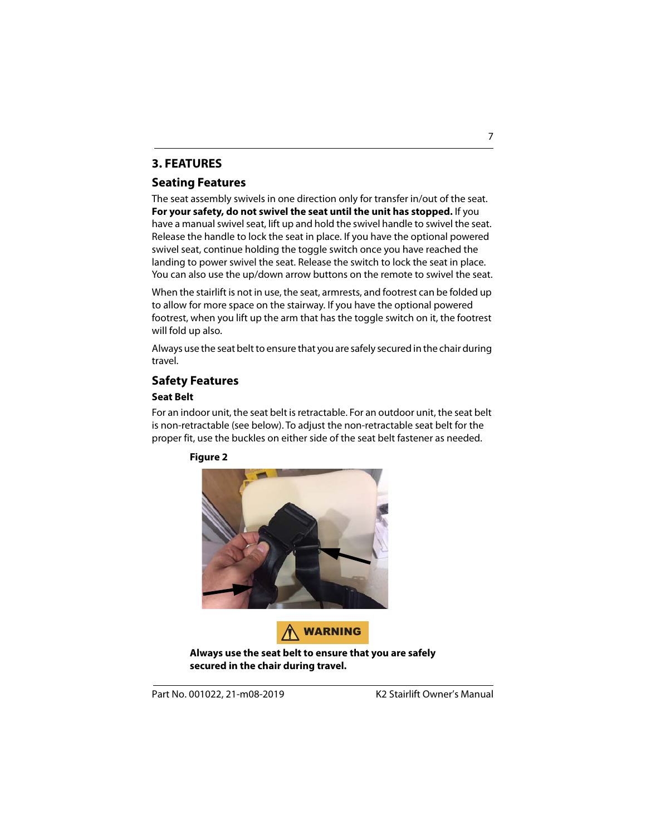## <span id="page-6-0"></span>**3. FEATURES**

## <span id="page-6-1"></span>**Seating Features**

The seat assembly swivels in one direction only for transfer in/out of the seat. **For your safety, do not swivel the seat until the unit has stopped.** If you have a manual swivel seat, lift up and hold the swivel handle to swivel the seat. Release the handle to lock the seat in place. If you have the optional powered swivel seat, continue holding the toggle switch once you have reached the landing to power swivel the seat. Release the switch to lock the seat in place. You can also use the up/down arrow buttons on the remote to swivel the seat.

When the stairlift is not in use, the seat, armrests, and footrest can be folded up to allow for more space on the stairway. If you have the optional powered footrest, when you lift up the arm that has the toggle switch on it, the footrest will fold up also.

Always use the seat belt to ensure that you are safely secured in the chair during travel.

## <span id="page-6-2"></span>**Safety Features**

#### **Seat Belt**

For an indoor unit, the seat belt is retractable. For an outdoor unit, the seat belt is non-retractable (see below). To adjust the non-retractable seat belt for the proper fit, use the buckles on either side of the seat belt fastener as needed.



#### **Figure 2**



**Always use the seat belt to ensure that you are safely secured in the chair during travel.**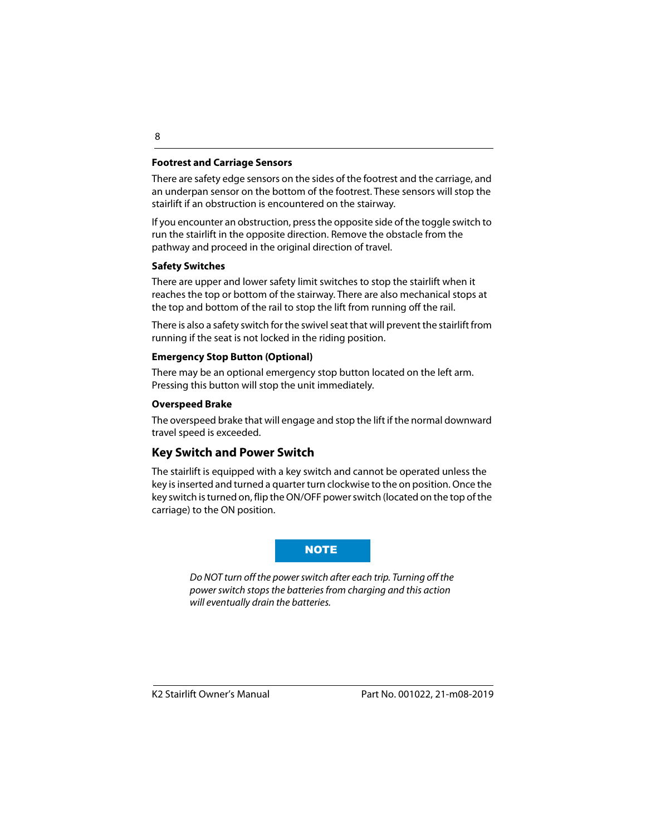#### <span id="page-7-0"></span>**Footrest and Carriage Sensors**

There are safety edge sensors on the sides of the footrest and the carriage, and an underpan sensor on the bottom of the footrest. These sensors will stop the stairlift if an obstruction is encountered on the stairway.

If you encounter an obstruction, press the opposite side of the toggle switch to run the stairlift in the opposite direction. Remove the obstacle from the pathway and proceed in the original direction of travel.

#### <span id="page-7-1"></span>**Safety Switches**

There are upper and lower safety limit switches to stop the stairlift when it reaches the top or bottom of the stairway. There are also mechanical stops at the top and bottom of the rail to stop the lift from running off the rail.

There is also a safety switch for the swivel seat that will prevent the stairlift from running if the seat is not locked in the riding position.

#### <span id="page-7-2"></span>**Emergency Stop Button (Optional)**

There may be an optional emergency stop button located on the left arm. Pressing this button will stop the unit immediately.

#### <span id="page-7-3"></span>**Overspeed Brake**

The overspeed brake that will engage and stop the lift if the normal downward travel speed is exceeded.

#### <span id="page-7-4"></span>**Key Switch and Power Switch**

The stairlift is equipped with a key switch and cannot be operated unless the key is inserted and turned a quarter turn clockwise to the on position. Once the key switch is turned on, flip the ON/OFF power switch (located on the top of the carriage) to the ON position.

#### **NOTE**

Do NOT turn off the power switch after each trip. Turning off the power switch stops the batteries from charging and this action will eventually drain the batteries.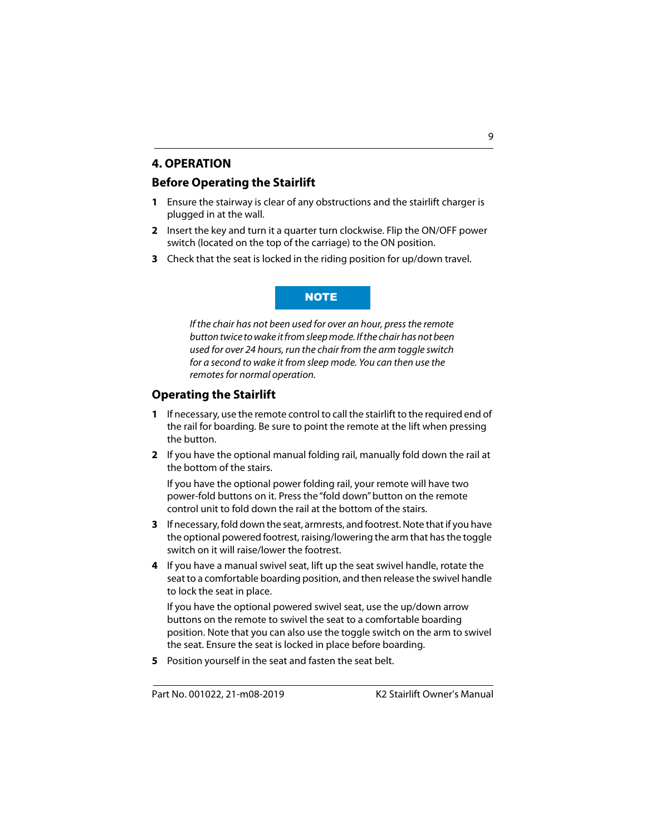## **4. OPERATION**

## **Before Operating the Stairlift**

- **1** Ensure the stairway is clear of any obstructions and the stairlift charger is plugged in at the wall.
- **2** Insert the key and turn it a quarter turn clockwise. Flip the ON/OFF power switch (located on the top of the carriage) to the ON position.
- **3** Check that the seat is locked in the riding position for up/down travel.

#### **NOTE**

If the chair has not been used for over an hour, press the remote button twice to wake it from sleep mode. If the chair has not been used for over 24 hours, run the chair from the arm toggle switch for a second to wake it from sleep mode. You can then use the remotes for normal operation.

## **Operating the Stairlift**

- **1** If necessary, use the remote control to call the stairlift to the required end of the rail for boarding. Be sure to point the remote at the lift when pressing the button.
- **2** If you have the optional manual folding rail, manually fold down the rail at the bottom of the stairs.

If you have the optional power folding rail, your remote will have two power-fold buttons on it. Press the "fold down" button on the remote control unit to fold down the rail at the bottom of the stairs.

- **3** If necessary, fold down the seat, armrests, and footrest. Note that if you have the optional powered footrest, raising/lowering the arm that has the toggle switch on it will raise/lower the footrest.
- **4** If you have a manual swivel seat, lift up the seat swivel handle, rotate the seat to a comfortable boarding position, and then release the swivel handle to lock the seat in place.

If you have the optional powered swivel seat, use the up/down arrow buttons on the remote to swivel the seat to a comfortable boarding position. Note that you can also use the toggle switch on the arm to swivel the seat. Ensure the seat is locked in place before boarding.

**5** Position yourself in the seat and fasten the seat belt.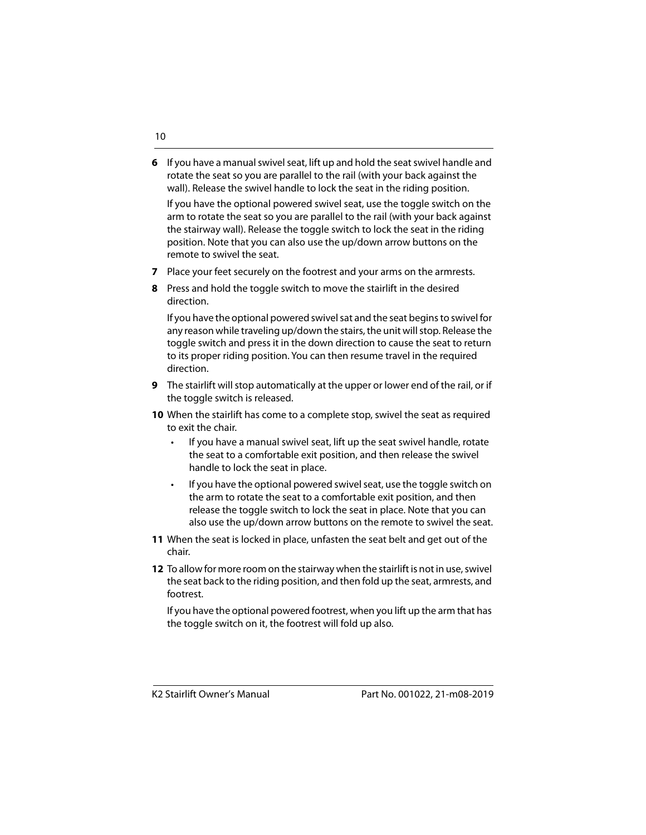**6** If you have a manual swivel seat, lift up and hold the seat swivel handle and rotate the seat so you are parallel to the rail (with your back against the wall). Release the swivel handle to lock the seat in the riding position.

If you have the optional powered swivel seat, use the toggle switch on the arm to rotate the seat so you are parallel to the rail (with your back against the stairway wall). Release the toggle switch to lock the seat in the riding position. Note that you can also use the up/down arrow buttons on the remote to swivel the seat.

- **7** Place your feet securely on the footrest and your arms on the armrests.
- **8** Press and hold the toggle switch to move the stairlift in the desired direction.

If you have the optional powered swivel sat and the seat begins to swivel for any reason while traveling up/down the stairs, the unit will stop. Release the toggle switch and press it in the down direction to cause the seat to return to its proper riding position. You can then resume travel in the required direction.

- **9** The stairlift will stop automatically at the upper or lower end of the rail, or if the toggle switch is released.
- **10** When the stairlift has come to a complete stop, swivel the seat as required to exit the chair.
	- If you have a manual swivel seat, lift up the seat swivel handle, rotate the seat to a comfortable exit position, and then release the swivel handle to lock the seat in place.
	- If you have the optional powered swivel seat, use the toggle switch on the arm to rotate the seat to a comfortable exit position, and then release the toggle switch to lock the seat in place. Note that you can also use the up/down arrow buttons on the remote to swivel the seat.
- **11** When the seat is locked in place, unfasten the seat belt and get out of the chair.
- **12** To allow for more room on the stairway when the stairlift is not in use, swivel the seat back to the riding position, and then fold up the seat, armrests, and footrest.

If you have the optional powered footrest, when you lift up the arm that has the toggle switch on it, the footrest will fold up also.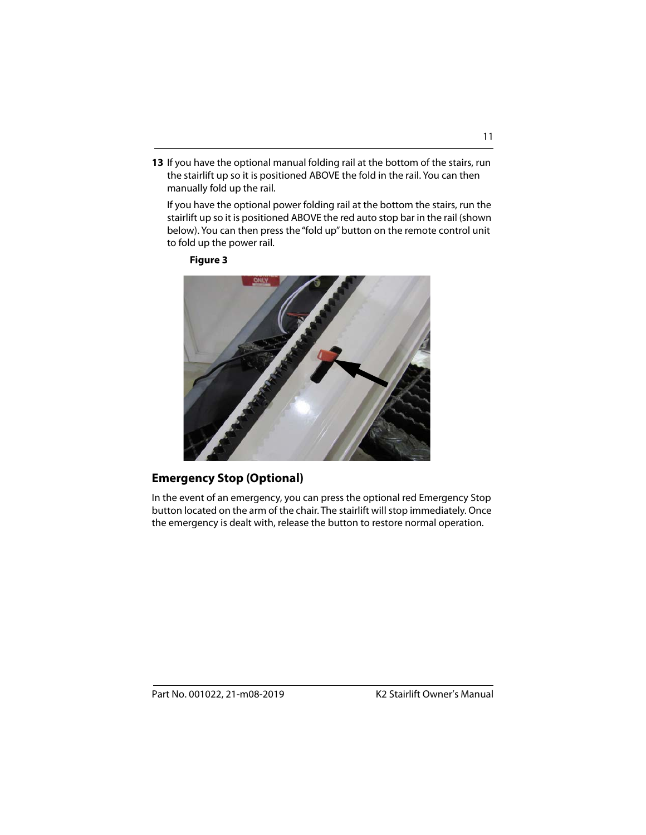**13** If you have the optional manual folding rail at the bottom of the stairs, run the stairlift up so it is positioned ABOVE the fold in the rail. You can then manually fold up the rail.

If you have the optional power folding rail at the bottom the stairs, run the stairlift up so it is positioned ABOVE the red auto stop bar in the rail (shown below). You can then press the "fold up" button on the remote control unit to fold up the power rail.

#### **Figure 3**



## **Emergency Stop (Optional)**

In the event of an emergency, you can press the optional red Emergency Stop button located on the arm of the chair. The stairlift will stop immediately. Once the emergency is dealt with, release the button to restore normal operation.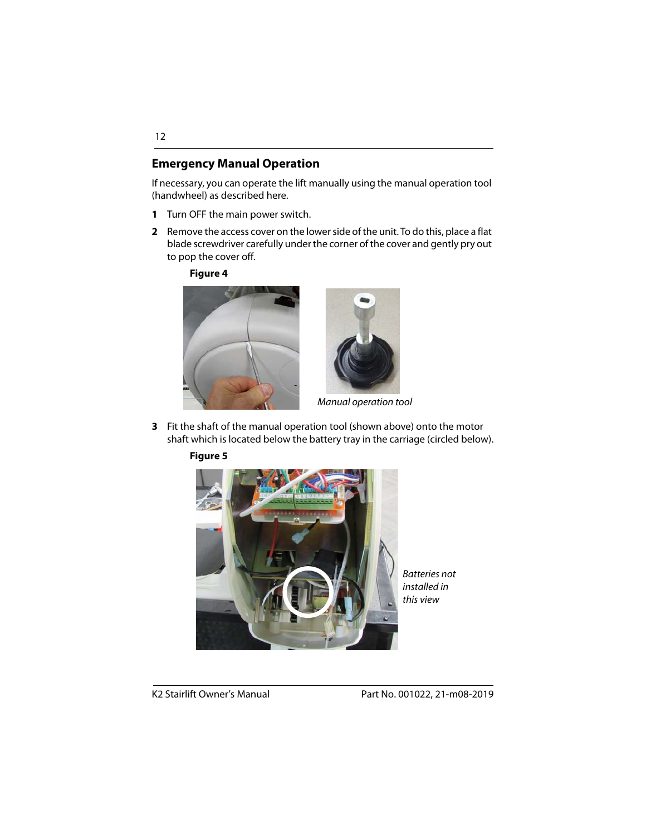## **Emergency Manual Operation**

If necessary, you can operate the lift manually using the manual operation tool (handwheel) as described here.

- **1** Turn OFF the main power switch.
- **2** Remove the access cover on the lower side of the unit. To do this, place a flat blade screwdriver carefully under the corner of the cover and gently pry out to pop the cover off.

**Figure 4**





Manual operation tool

**3** Fit the shaft of the manual operation tool (shown above) onto the motor shaft which is located below the battery tray in the carriage (circled below).



Batteries not installed in this view

#### **Figure 5**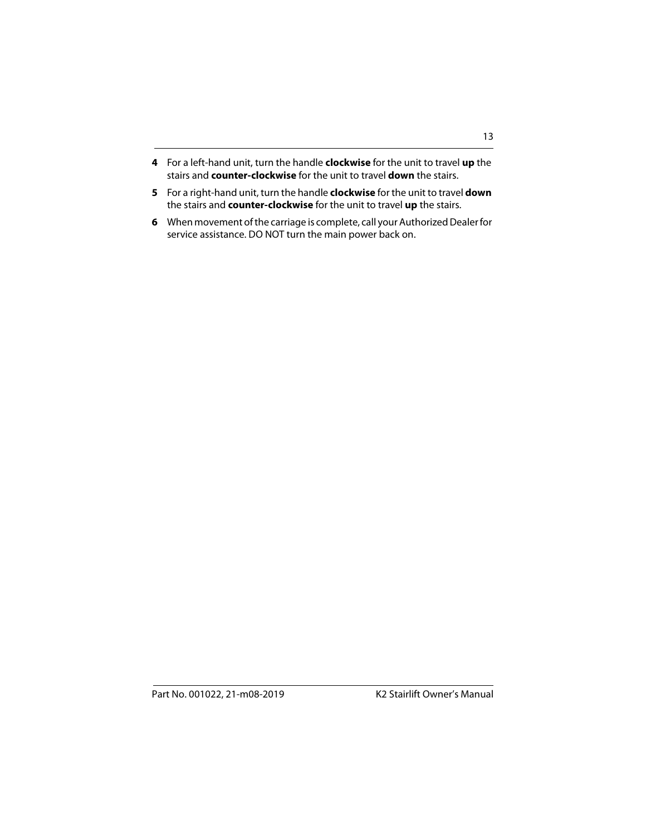- **4** For a left-hand unit, turn the handle **clockwise** for the unit to travel **up** the stairs and **counter-clockwise** for the unit to travel **down** the stairs.
- **5** For a right-hand unit, turn the handle **clockwise** for the unit to travel **down** the stairs and **counter-clockwise** for the unit to travel **up** the stairs.
- **6** When movement of the carriage is complete, call your Authorized Dealer for service assistance. DO NOT turn the main power back on.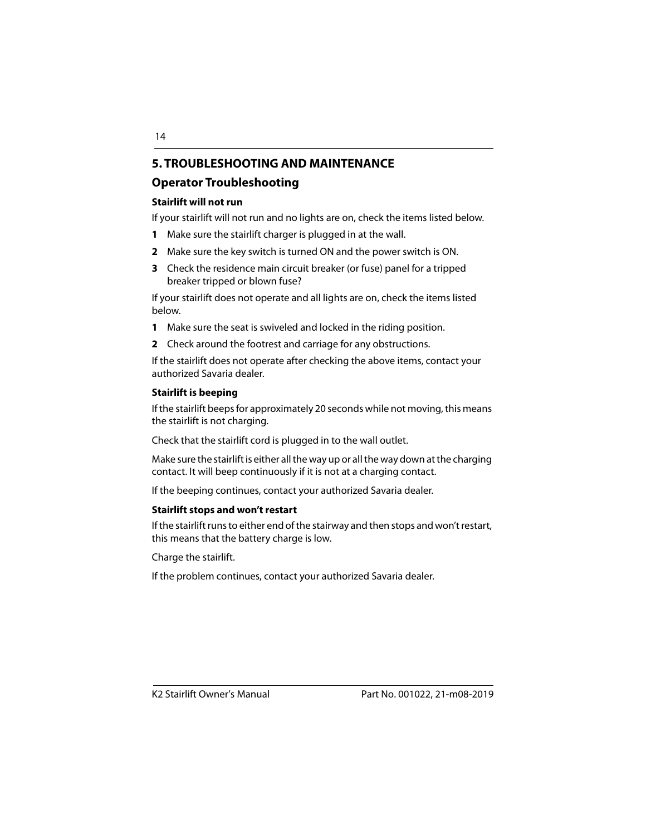## **5. TROUBLESHOOTING AND MAINTENANCE**

## **Operator Troubleshooting**

## **Stairlift will not run**

If your stairlift will not run and no lights are on, check the items listed below.

- **1** Make sure the stairlift charger is plugged in at the wall.
- **2** Make sure the key switch is turned ON and the power switch is ON.
- **3** Check the residence main circuit breaker (or fuse) panel for a tripped breaker tripped or blown fuse?

If your stairlift does not operate and all lights are on, check the items listed below.

- **1** Make sure the seat is swiveled and locked in the riding position.
- **2** Check around the footrest and carriage for any obstructions.

If the stairlift does not operate after checking the above items, contact your authorized Savaria dealer.

### **Stairlift is beeping**

If the stairlift beeps for approximately 20 seconds while not moving, this means the stairlift is not charging.

Check that the stairlift cord is plugged in to the wall outlet.

Make sure the stairlift is either all the way up or all the way down at the charging contact. It will beep continuously if it is not at a charging contact.

If the beeping continues, contact your authorized Savaria dealer.

#### **Stairlift stops and won't restart**

If the stairlift runs to either end of the stairway and then stops and won't restart, this means that the battery charge is low.

Charge the stairlift.

If the problem continues, contact your authorized Savaria dealer.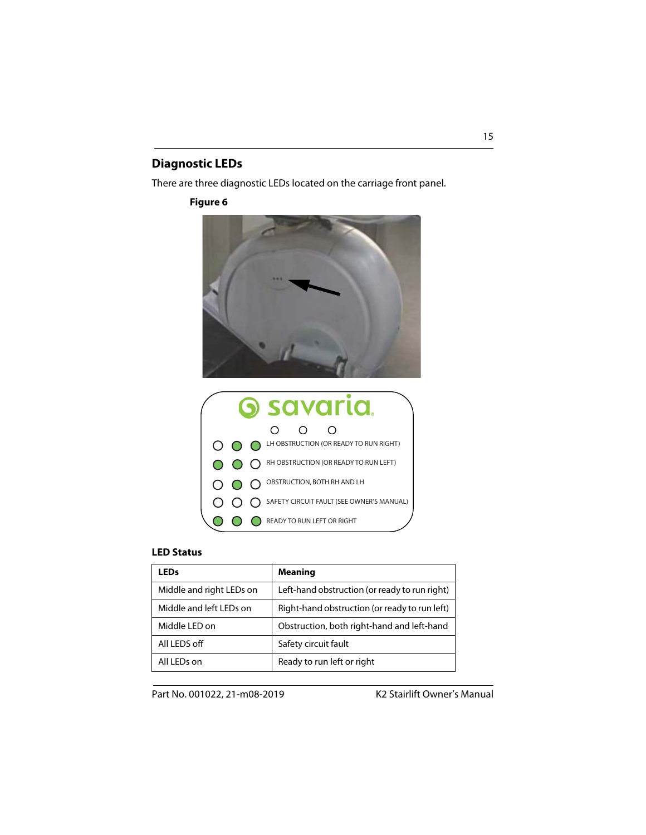## **Diagnostic LEDs**

There are three diagnostic LEDs located on the carriage front panel.

#### **Figure 6**





#### **LED Status**

| <b>LEDs</b>              | <b>Meaning</b>                                |
|--------------------------|-----------------------------------------------|
| Middle and right LEDs on | Left-hand obstruction (or ready to run right) |
| Middle and left LEDs on  | Right-hand obstruction (or ready to run left) |
| Middle LED on            | Obstruction, both right-hand and left-hand    |
| All LEDS off             | Safety circuit fault                          |
| All LEDs on              | Ready to run left or right                    |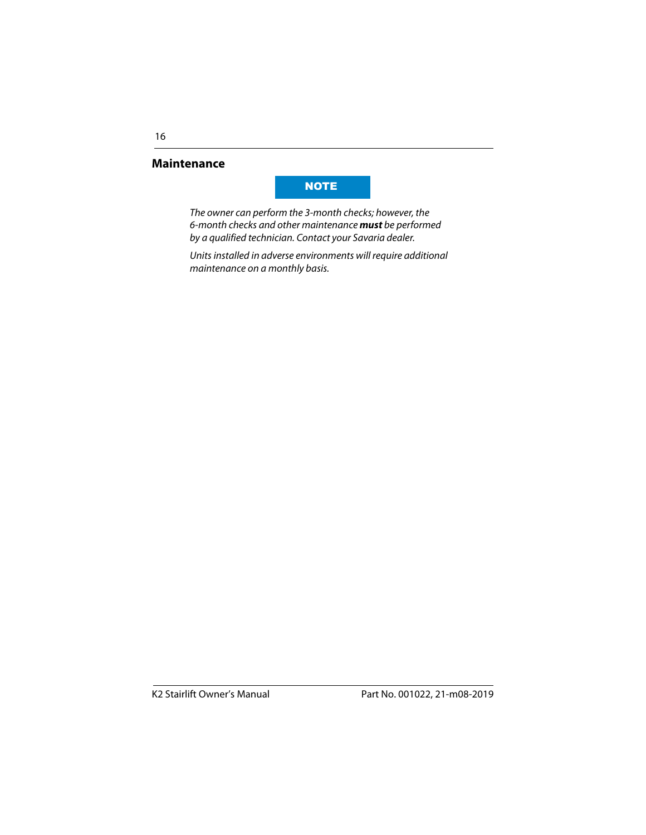### **Maintenance**

### **NOTE**

The owner can perform the 3-month checks; however, the 6-month checks and other maintenance **must** be performed by a qualified technician. Contact your Savaria dealer.

Units installed in adverse environments will require additional maintenance on a monthly basis.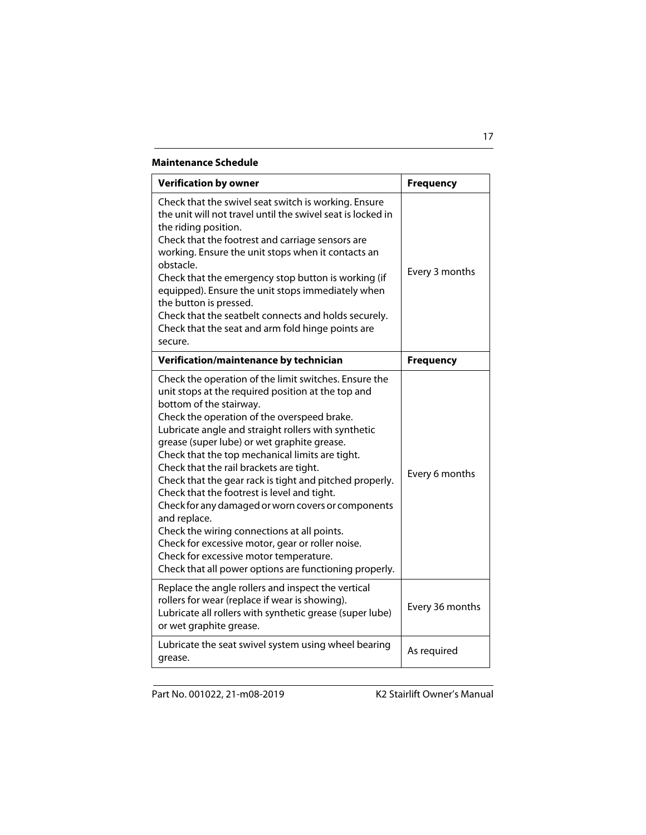#### **Maintenance Schedule**

| <b>Verification by owner</b>                                                                                                                                                                                                                                                                                                                                                                                                                                                                                                                                                                                                                                                                                                                                                     | <b>Frequency</b> |
|----------------------------------------------------------------------------------------------------------------------------------------------------------------------------------------------------------------------------------------------------------------------------------------------------------------------------------------------------------------------------------------------------------------------------------------------------------------------------------------------------------------------------------------------------------------------------------------------------------------------------------------------------------------------------------------------------------------------------------------------------------------------------------|------------------|
| Check that the swivel seat switch is working. Ensure<br>the unit will not travel until the swivel seat is locked in<br>the riding position.<br>Check that the footrest and carriage sensors are<br>working. Ensure the unit stops when it contacts an<br>obstacle.<br>Check that the emergency stop button is working (if<br>equipped). Ensure the unit stops immediately when<br>the button is pressed.<br>Check that the seatbelt connects and holds securely.<br>Check that the seat and arm fold hinge points are<br>secure.                                                                                                                                                                                                                                                 | Every 3 months   |
| Verification/maintenance by technician                                                                                                                                                                                                                                                                                                                                                                                                                                                                                                                                                                                                                                                                                                                                           | <b>Frequency</b> |
| Check the operation of the limit switches. Ensure the<br>unit stops at the required position at the top and<br>bottom of the stairway.<br>Check the operation of the overspeed brake.<br>Lubricate angle and straight rollers with synthetic<br>grease (super lube) or wet graphite grease.<br>Check that the top mechanical limits are tight.<br>Check that the rail brackets are tight.<br>Check that the gear rack is tight and pitched properly.<br>Check that the footrest is level and tight.<br>Check for any damaged or worn covers or components<br>and replace.<br>Check the wiring connections at all points.<br>Check for excessive motor, gear or roller noise.<br>Check for excessive motor temperature.<br>Check that all power options are functioning properly. | Every 6 months   |
| Replace the angle rollers and inspect the vertical<br>rollers for wear (replace if wear is showing).<br>Lubricate all rollers with synthetic grease (super lube)<br>or wet graphite grease.                                                                                                                                                                                                                                                                                                                                                                                                                                                                                                                                                                                      | Every 36 months  |
| Lubricate the seat swivel system using wheel bearing<br>grease.                                                                                                                                                                                                                                                                                                                                                                                                                                                                                                                                                                                                                                                                                                                  | As required      |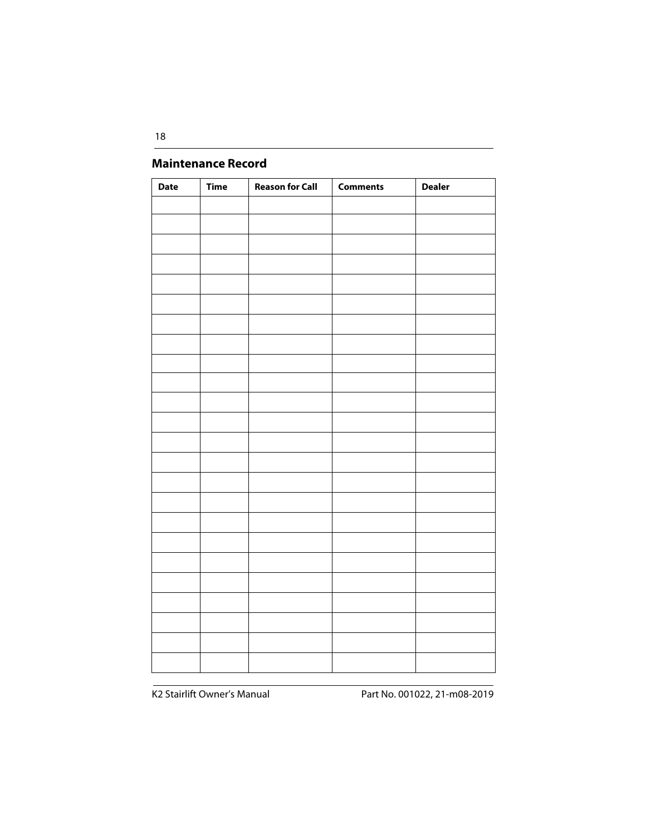## <span id="page-17-0"></span>**Maintenance Record**

| <b>Date</b> | <b>Time</b> | <b>Reason for Call</b> | <b>Comments</b> | <b>Dealer</b> |
|-------------|-------------|------------------------|-----------------|---------------|
|             |             |                        |                 |               |
|             |             |                        |                 |               |
|             |             |                        |                 |               |
|             |             |                        |                 |               |
|             |             |                        |                 |               |
|             |             |                        |                 |               |
|             |             |                        |                 |               |
|             |             |                        |                 |               |
|             |             |                        |                 |               |
|             |             |                        |                 |               |
|             |             |                        |                 |               |
|             |             |                        |                 |               |
|             |             |                        |                 |               |
|             |             |                        |                 |               |
|             |             |                        |                 |               |
|             |             |                        |                 |               |
|             |             |                        |                 |               |
|             |             |                        |                 |               |
|             |             |                        |                 |               |
|             |             |                        |                 |               |
|             |             |                        |                 |               |
|             |             |                        |                 |               |
|             |             |                        |                 |               |
|             |             |                        |                 |               |